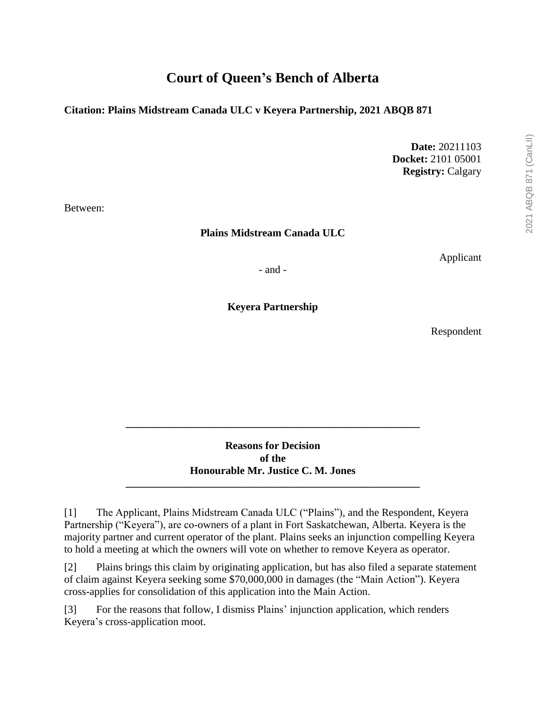# **Court of Queen's Bench of Alberta**

### **Citation: Plains Midstream Canada ULC v Keyera Partnership, 2021 ABQB 871**

**Date:** 20211103 **Docket:** 2101 05001 **Registry:** Calgary

Between:

**Plains Midstream Canada ULC**

Applicant

- and -

**Keyera Partnership**

Respondent

**Reasons for Decision of the Honourable Mr. Justice C. M. Jones \_\_\_\_\_\_\_\_\_\_\_\_\_\_\_\_\_\_\_\_\_\_\_\_\_\_\_\_\_\_\_\_\_\_\_\_\_\_\_\_\_\_\_\_\_\_\_\_\_\_\_\_\_\_\_**

**\_\_\_\_\_\_\_\_\_\_\_\_\_\_\_\_\_\_\_\_\_\_\_\_\_\_\_\_\_\_\_\_\_\_\_\_\_\_\_\_\_\_\_\_\_\_\_\_\_\_\_\_\_\_\_**

[1] The Applicant, Plains Midstream Canada ULC ("Plains"), and the Respondent, Keyera Partnership ("Keyera"), are co-owners of a plant in Fort Saskatchewan, Alberta. Keyera is the majority partner and current operator of the plant. Plains seeks an injunction compelling Keyera to hold a meeting at which the owners will vote on whether to remove Keyera as operator.

[2] Plains brings this claim by originating application, but has also filed a separate statement of claim against Keyera seeking some \$70,000,000 in damages (the "Main Action"). Keyera cross-applies for consolidation of this application into the Main Action.

[3] For the reasons that follow, I dismiss Plains' injunction application, which renders Keyera's cross-application moot.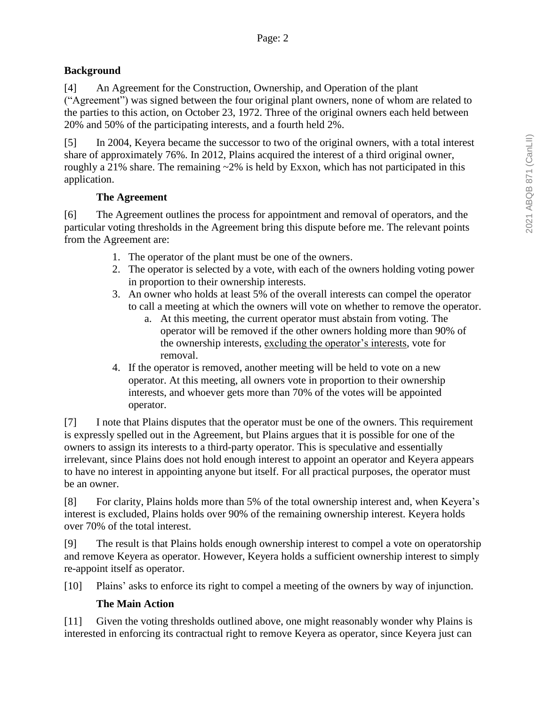### **Background**

[4] An Agreement for the Construction, Ownership, and Operation of the plant

("Agreement") was signed between the four original plant owners, none of whom are related to the parties to this action, on October 23, 1972. Three of the original owners each held between 20% and 50% of the participating interests, and a fourth held 2%.

[5] In 2004, Keyera became the successor to two of the original owners, with a total interest share of approximately 76%. In 2012, Plains acquired the interest of a third original owner, roughly a 21% share. The remaining  $\sim$ 2% is held by Exxon, which has not participated in this application.

# **The Agreement**

[6] The Agreement outlines the process for appointment and removal of operators, and the particular voting thresholds in the Agreement bring this dispute before me. The relevant points from the Agreement are:

- 1. The operator of the plant must be one of the owners.
- 2. The operator is selected by a vote, with each of the owners holding voting power in proportion to their ownership interests.
- 3. An owner who holds at least 5% of the overall interests can compel the operator to call a meeting at which the owners will vote on whether to remove the operator.
	- a. At this meeting, the current operator must abstain from voting. The operator will be removed if the other owners holding more than 90% of the ownership interests, excluding the operator's interests, vote for removal.
- 4. If the operator is removed, another meeting will be held to vote on a new operator. At this meeting, all owners vote in proportion to their ownership interests, and whoever gets more than 70% of the votes will be appointed operator.

[7] I note that Plains disputes that the operator must be one of the owners. This requirement is expressly spelled out in the Agreement, but Plains argues that it is possible for one of the owners to assign its interests to a third-party operator. This is speculative and essentially irrelevant, since Plains does not hold enough interest to appoint an operator and Keyera appears to have no interest in appointing anyone but itself. For all practical purposes, the operator must be an owner.

[8] For clarity, Plains holds more than 5% of the total ownership interest and, when Keyera's interest is excluded, Plains holds over 90% of the remaining ownership interest. Keyera holds over 70% of the total interest.

[9] The result is that Plains holds enough ownership interest to compel a vote on operatorship and remove Keyera as operator. However, Keyera holds a sufficient ownership interest to simply re-appoint itself as operator.

[10] Plains' asks to enforce its right to compel a meeting of the owners by way of injunction.

# **The Main Action**

[11] Given the voting thresholds outlined above, one might reasonably wonder why Plains is interested in enforcing its contractual right to remove Keyera as operator, since Keyera just can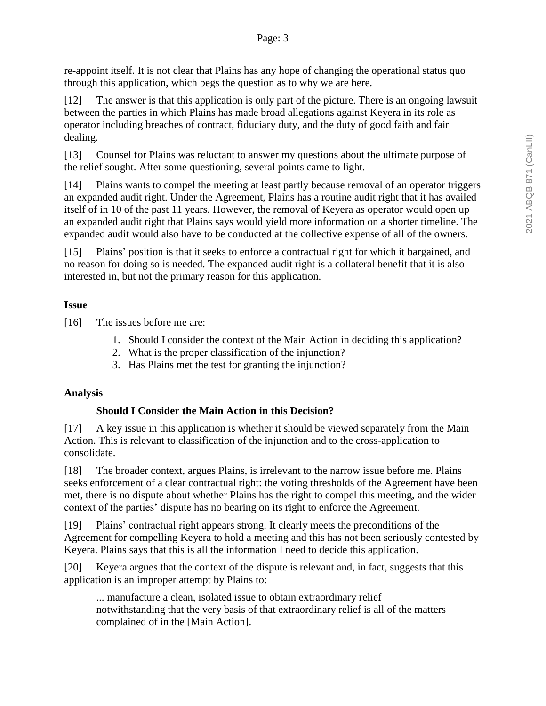re-appoint itself. It is not clear that Plains has any hope of changing the operational status quo through this application, which begs the question as to why we are here.

[12] The answer is that this application is only part of the picture. There is an ongoing lawsuit between the parties in which Plains has made broad allegations against Keyera in its role as operator including breaches of contract, fiduciary duty, and the duty of good faith and fair dealing.

[13] Counsel for Plains was reluctant to answer my questions about the ultimate purpose of the relief sought. After some questioning, several points came to light.

[14] Plains wants to compel the meeting at least partly because removal of an operator triggers an expanded audit right. Under the Agreement, Plains has a routine audit right that it has availed itself of in 10 of the past 11 years. However, the removal of Keyera as operator would open up an expanded audit right that Plains says would yield more information on a shorter timeline. The expanded audit would also have to be conducted at the collective expense of all of the owners.

[15] Plains' position is that it seeks to enforce a contractual right for which it bargained, and no reason for doing so is needed. The expanded audit right is a collateral benefit that it is also interested in, but not the primary reason for this application.

# **Issue**

[16] The issues before me are:

- 1. Should I consider the context of the Main Action in deciding this application?
- 2. What is the proper classification of the injunction?
- 3. Has Plains met the test for granting the injunction?

### **Analysis**

### **Should I Consider the Main Action in this Decision?**

[17] A key issue in this application is whether it should be viewed separately from the Main Action. This is relevant to classification of the injunction and to the cross-application to consolidate.

[18] The broader context, argues Plains, is irrelevant to the narrow issue before me. Plains seeks enforcement of a clear contractual right: the voting thresholds of the Agreement have been met, there is no dispute about whether Plains has the right to compel this meeting, and the wider context of the parties' dispute has no bearing on its right to enforce the Agreement.

[19] Plains' contractual right appears strong. It clearly meets the preconditions of the Agreement for compelling Keyera to hold a meeting and this has not been seriously contested by Keyera. Plains says that this is all the information I need to decide this application.

[20] Keyera argues that the context of the dispute is relevant and, in fact, suggests that this application is an improper attempt by Plains to:

... manufacture a clean, isolated issue to obtain extraordinary relief notwithstanding that the very basis of that extraordinary relief is all of the matters complained of in the [Main Action].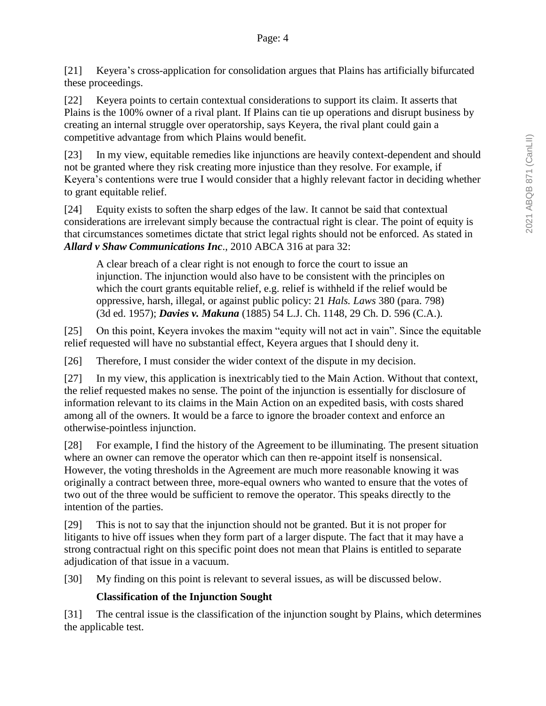[21] Keyera's cross-application for consolidation argues that Plains has artificially bifurcated these proceedings.

[22] Keyera points to certain contextual considerations to support its claim. It asserts that Plains is the 100% owner of a rival plant. If Plains can tie up operations and disrupt business by creating an internal struggle over operatorship, says Keyera, the rival plant could gain a competitive advantage from which Plains would benefit.

[23] In my view, equitable remedies like injunctions are heavily context-dependent and should not be granted where they risk creating more injustice than they resolve. For example, if Keyera's contentions were true I would consider that a highly relevant factor in deciding whether to grant equitable relief.

[24] Equity exists to soften the sharp edges of the law. It cannot be said that contextual considerations are irrelevant simply because the contractual right is clear. The point of equity is that circumstances sometimes dictate that strict legal rights should not be enforced. As stated in *Allard v Shaw Communications Inc*., 2010 ABCA 316 at para 32:

A clear breach of a clear right is not enough to force the court to issue an injunction. The injunction would also have to be consistent with the principles on which the court grants equitable relief, e.g. relief is withheld if the relief would be oppressive, harsh, illegal, or against public policy: 21 *Hals. Laws* 380 (para. 798) (3d ed. 1957); *Davies v. Makuna* (1885) 54 L.J. Ch. 1148, 29 Ch. D. 596 (C.A.).

[25] On this point, Keyera invokes the maxim "equity will not act in vain". Since the equitable relief requested will have no substantial effect, Keyera argues that I should deny it.

[26] Therefore, I must consider the wider context of the dispute in my decision.

[27] In my view, this application is inextricably tied to the Main Action. Without that context, the relief requested makes no sense. The point of the injunction is essentially for disclosure of information relevant to its claims in the Main Action on an expedited basis, with costs shared among all of the owners. It would be a farce to ignore the broader context and enforce an otherwise-pointless injunction.

[28] For example, I find the history of the Agreement to be illuminating. The present situation where an owner can remove the operator which can then re-appoint itself is nonsensical. However, the voting thresholds in the Agreement are much more reasonable knowing it was originally a contract between three, more-equal owners who wanted to ensure that the votes of two out of the three would be sufficient to remove the operator. This speaks directly to the intention of the parties.

[29] This is not to say that the injunction should not be granted. But it is not proper for litigants to hive off issues when they form part of a larger dispute. The fact that it may have a strong contractual right on this specific point does not mean that Plains is entitled to separate adjudication of that issue in a vacuum.

[30] My finding on this point is relevant to several issues, as will be discussed below.

# **Classification of the Injunction Sought**

[31] The central issue is the classification of the injunction sought by Plains, which determines the applicable test.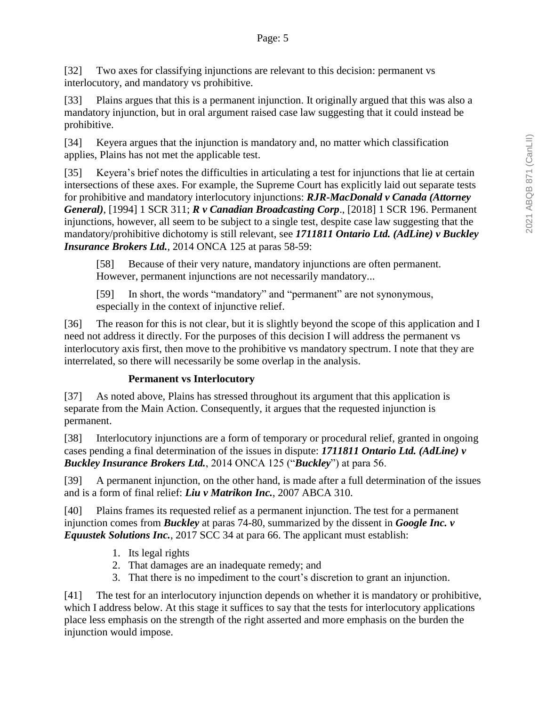[32] Two axes for classifying injunctions are relevant to this decision: permanent vs interlocutory, and mandatory vs prohibitive.

[33] Plains argues that this is a permanent injunction. It originally argued that this was also a mandatory injunction, but in oral argument raised case law suggesting that it could instead be prohibitive.

[34] Keyera argues that the injunction is mandatory and, no matter which classification applies, Plains has not met the applicable test.

[35] Keyera's brief notes the difficulties in articulating a test for injunctions that lie at certain intersections of these axes. For example, the Supreme Court has explicitly laid out separate tests for prohibitive and mandatory interlocutory injunctions: *RJR-MacDonald v Canada (Attorney General)*, [1994] 1 SCR 311; *R v Canadian Broadcasting Corp*., [2018] 1 SCR 196. Permanent injunctions, however, all seem to be subject to a single test, despite case law suggesting that the mandatory/prohibitive dichotomy is still relevant, see *1711811 Ontario Ltd. (AdLine) v Buckley Insurance Brokers Ltd.*, 2014 ONCA 125 at paras 58-59:

[58] Because of their very nature, mandatory injunctions are often permanent. However, permanent injunctions are not necessarily mandatory...

[59] In short, the words "mandatory" and "permanent" are not synonymous, especially in the context of injunctive relief.

[36] The reason for this is not clear, but it is slightly beyond the scope of this application and I need not address it directly. For the purposes of this decision I will address the permanent vs interlocutory axis first, then move to the prohibitive vs mandatory spectrum. I note that they are interrelated, so there will necessarily be some overlap in the analysis.

# **Permanent vs Interlocutory**

[37] As noted above, Plains has stressed throughout its argument that this application is separate from the Main Action. Consequently, it argues that the requested injunction is permanent.

[38] Interlocutory injunctions are a form of temporary or procedural relief, granted in ongoing cases pending a final determination of the issues in dispute: *1711811 Ontario Ltd. (AdLine) v Buckley Insurance Brokers Ltd.*, 2014 ONCA 125 ("*Buckley*") at para 56.

[39] A permanent injunction, on the other hand, is made after a full determination of the issues and is a form of final relief: *Liu v Matrikon Inc.*, 2007 ABCA 310.

[40] Plains frames its requested relief as a permanent injunction. The test for a permanent injunction comes from *Buckley* at paras 74-80, summarized by the dissent in *Google Inc. v Equustek Solutions Inc.*, 2017 SCC 34 at para 66. The applicant must establish:

- 1. Its legal rights
- 2. That damages are an inadequate remedy; and
- 3. That there is no impediment to the court's discretion to grant an injunction.

[41] The test for an interlocutory injunction depends on whether it is mandatory or prohibitive, which I address below. At this stage it suffices to say that the tests for interlocutory applications place less emphasis on the strength of the right asserted and more emphasis on the burden the injunction would impose.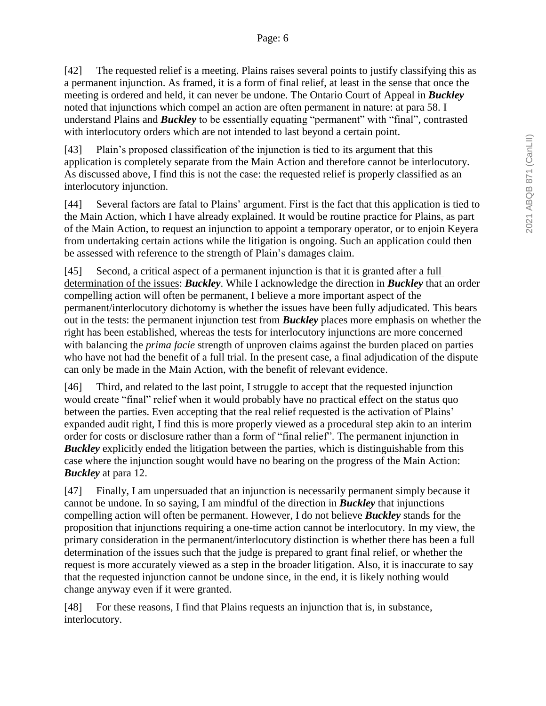[42] The requested relief is a meeting. Plains raises several points to justify classifying this as a permanent injunction. As framed, it is a form of final relief, at least in the sense that once the meeting is ordered and held, it can never be undone. The Ontario Court of Appeal in *Buckley* noted that injunctions which compel an action are often permanent in nature: at para 58. I understand Plains and *Buckley* to be essentially equating "permanent" with "final", contrasted with interlocutory orders which are not intended to last beyond a certain point.

[43] Plain's proposed classification of the injunction is tied to its argument that this application is completely separate from the Main Action and therefore cannot be interlocutory. As discussed above, I find this is not the case: the requested relief is properly classified as an interlocutory injunction.

[44] Several factors are fatal to Plains' argument. First is the fact that this application is tied to the Main Action, which I have already explained. It would be routine practice for Plains, as part of the Main Action, to request an injunction to appoint a temporary operator, or to enjoin Keyera from undertaking certain actions while the litigation is ongoing. Such an application could then be assessed with reference to the strength of Plain's damages claim.

[45] Second, a critical aspect of a permanent injunction is that it is granted after a <u>full</u> determination of the issues: *Buckley*. While I acknowledge the direction in *Buckley* that an order compelling action will often be permanent, I believe a more important aspect of the permanent/interlocutory dichotomy is whether the issues have been fully adjudicated. This bears out in the tests: the permanent injunction test from *Buckley* places more emphasis on whether the right has been established, whereas the tests for interlocutory injunctions are more concerned with balancing the *prima facie* strength of unproven claims against the burden placed on parties who have not had the benefit of a full trial. In the present case, a final adjudication of the dispute can only be made in the Main Action, with the benefit of relevant evidence.

[46] Third, and related to the last point, I struggle to accept that the requested injunction would create "final" relief when it would probably have no practical effect on the status quo between the parties. Even accepting that the real relief requested is the activation of Plains' expanded audit right, I find this is more properly viewed as a procedural step akin to an interim order for costs or disclosure rather than a form of "final relief". The permanent injunction in *Buckley* explicitly ended the litigation between the parties, which is distinguishable from this case where the injunction sought would have no bearing on the progress of the Main Action: *Buckley* at para 12.

[47] Finally, I am unpersuaded that an injunction is necessarily permanent simply because it cannot be undone. In so saying, I am mindful of the direction in *Buckley* that injunctions compelling action will often be permanent. However, I do not believe *Buckley* stands for the proposition that injunctions requiring a one-time action cannot be interlocutory. In my view, the primary consideration in the permanent/interlocutory distinction is whether there has been a full determination of the issues such that the judge is prepared to grant final relief, or whether the request is more accurately viewed as a step in the broader litigation. Also, it is inaccurate to say that the requested injunction cannot be undone since, in the end, it is likely nothing would change anyway even if it were granted.

[48] For these reasons, I find that Plains requests an injunction that is, in substance, interlocutory.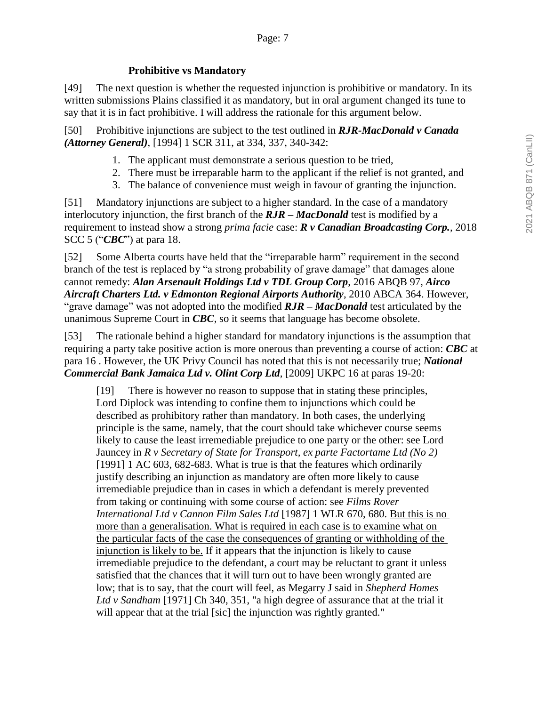### **Prohibitive vs Mandatory**

[49] The next question is whether the requested injunction is prohibitive or mandatory. In its written submissions Plains classified it as mandatory, but in oral argument changed its tune to say that it is in fact prohibitive. I will address the rationale for this argument below.

[50] Prohibitive injunctions are subject to the test outlined in *RJR-MacDonald v Canada (Attorney General)*, [1994] 1 SCR 311, at 334, 337, 340-342:

- 1. The applicant must demonstrate a serious question to be tried,
- 2. There must be irreparable harm to the applicant if the relief is not granted, and
- 3. The balance of convenience must weigh in favour of granting the injunction.

[51] Mandatory injunctions are subject to a higher standard. In the case of a mandatory interlocutory injunction, the first branch of the *RJR – MacDonald* test is modified by a requirement to instead show a strong *prima facie* case: *R v Canadian Broadcasting Corp.*, 2018 SCC 5 ("*CBC*") at para 18.

[52] Some Alberta courts have held that the "irreparable harm" requirement in the second branch of the test is replaced by "a strong probability of grave damage" that damages alone cannot remedy: *Alan Arsenault Holdings Ltd v TDL Group Corp*, 2016 ABQB 97, *Airco Aircraft Charters Ltd. v Edmonton Regional Airports Authority*, 2010 ABCA 364. However, "grave damage" was not adopted into the modified *RJR – MacDonald* test articulated by the unanimous Supreme Court in *CBC*, so it seems that language has become obsolete.

[53] The rationale behind a higher standard for mandatory injunctions is the assumption that requiring a party take positive action is more onerous than preventing a course of action: *CBC* at para 16 . However, the UK Privy Council has noted that this is not necessarily true; *National Commercial Bank Jamaica Ltd v. Olint Corp Ltd*, [2009] UKPC 16 at paras 19-20:

[19] There is however no reason to suppose that in stating these principles, Lord Diplock was intending to confine them to injunctions which could be described as prohibitory rather than mandatory. In both cases, the underlying principle is the same, namely, that the court should take whichever course seems likely to cause the least irremediable prejudice to one party or the other: see Lord Jauncey in *R v Secretary of State for Transport, ex parte Factortame Ltd (No 2)* [1991] 1 AC 603, 682-683. What is true is that the features which ordinarily justify describing an injunction as mandatory are often more likely to cause irremediable prejudice than in cases in which a defendant is merely prevented from taking or continuing with some course of action: see *Films Rover International Ltd v Cannon Film Sales Ltd* [1987] 1 WLR 670, 680. But this is no more than a generalisation. What is required in each case is to examine what on the particular facts of the case the consequences of granting or withholding of the injunction is likely to be. If it appears that the injunction is likely to cause irremediable prejudice to the defendant, a court may be reluctant to grant it unless satisfied that the chances that it will turn out to have been wrongly granted are low; that is to say, that the court will feel, as Megarry J said in *Shepherd Homes Ltd v Sandham* [1971] Ch 340, 351, "a high degree of assurance that at the trial it will appear that at the trial [sic] the injunction was rightly granted."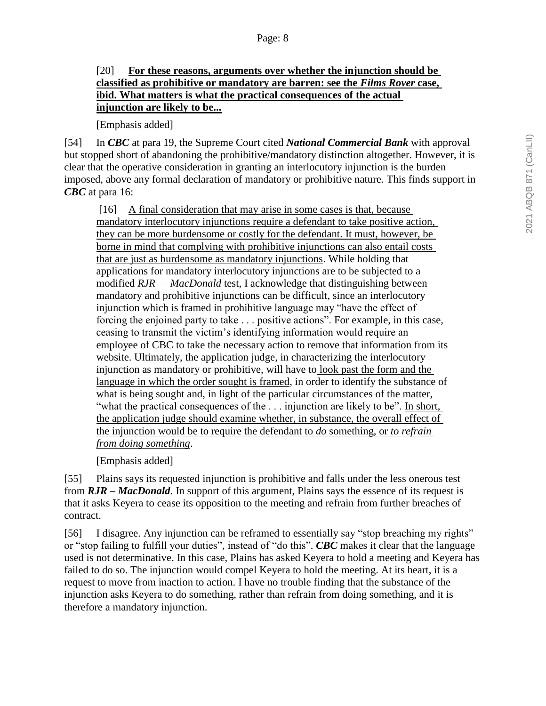### [20] **For these reasons, arguments over whether the injunction should be classified as prohibitive or mandatory are barren: see the** *Films Rover* **case, ibid. What matters is what the practical consequences of the actual injunction are likely to be...**

[Emphasis added]

[54] In *CBC* at para 19, the Supreme Court cited *National Commercial Bank* with approval but stopped short of abandoning the prohibitive/mandatory distinction altogether. However, it is clear that the operative consideration in granting an interlocutory injunction is the burden imposed, above any formal declaration of mandatory or prohibitive nature. This finds support in *CBC* at para 16:

[16] A final consideration that may arise in some cases is that, because mandatory interlocutory injunctions require a defendant to take positive action, they can be more burdensome or costly for the defendant. It must, however, be borne in mind that complying with prohibitive injunctions can also entail costs that are just as burdensome as mandatory injunctions. While holding that applications for mandatory interlocutory injunctions are to be subjected to a modified *RJR — MacDonald* test, I acknowledge that distinguishing between mandatory and prohibitive injunctions can be difficult, since an interlocutory injunction which is framed in prohibitive language may "have the effect of forcing the enjoined party to take . . . positive actions". For example, in this case, ceasing to transmit the victim's identifying information would require an employee of CBC to take the necessary action to remove that information from its website. Ultimately, the application judge, in characterizing the interlocutory injunction as mandatory or prohibitive, will have to look past the form and the language in which the order sought is framed, in order to identify the substance of what is being sought and, in light of the particular circumstances of the matter, "what the practical consequences of the . . . injunction are likely to be". In short, the application judge should examine whether, in substance, the overall effect of the injunction would be to require the defendant to *do* something, or *to refrain from doing something*.

[Emphasis added]

[55] Plains says its requested injunction is prohibitive and falls under the less onerous test from *RJR – MacDonald*. In support of this argument, Plains says the essence of its request is that it asks Keyera to cease its opposition to the meeting and refrain from further breaches of contract.

[56] I disagree. Any injunction can be reframed to essentially say "stop breaching my rights" or "stop failing to fulfill your duties", instead of "do this". *CBC* makes it clear that the language used is not determinative. In this case, Plains has asked Keyera to hold a meeting and Keyera has failed to do so. The injunction would compel Keyera to hold the meeting. At its heart, it is a request to move from inaction to action. I have no trouble finding that the substance of the injunction asks Keyera to do something, rather than refrain from doing something, and it is therefore a mandatory injunction.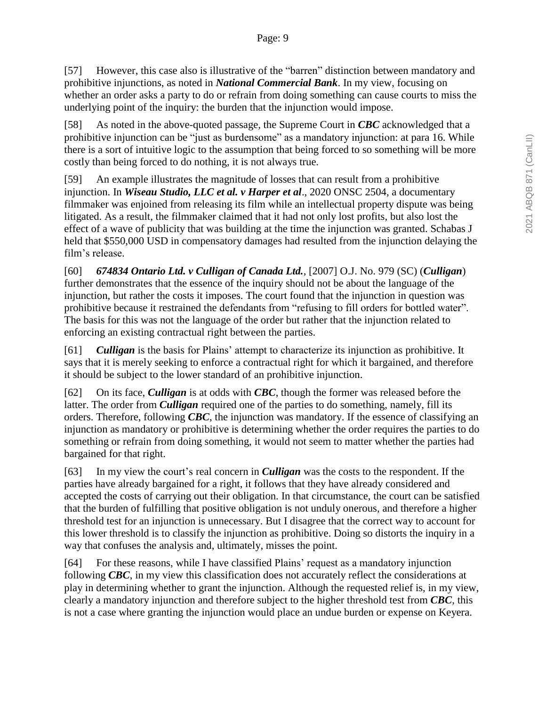[57] However, this case also is illustrative of the "barren" distinction between mandatory and prohibitive injunctions, as noted in *National Commercial Bank*. In my view, focusing on whether an order asks a party to do or refrain from doing something can cause courts to miss the underlying point of the inquiry: the burden that the injunction would impose.

[58] As noted in the above-quoted passage, the Supreme Court in *CBC* acknowledged that a prohibitive injunction can be "just as burdensome" as a mandatory injunction: at para 16. While there is a sort of intuitive logic to the assumption that being forced to so something will be more costly than being forced to do nothing, it is not always true.

[59] An example illustrates the magnitude of losses that can result from a prohibitive injunction. In *Wiseau Studio, LLC et al. v Harper et al*., 2020 ONSC 2504, a documentary filmmaker was enjoined from releasing its film while an intellectual property dispute was being litigated. As a result, the filmmaker claimed that it had not only lost profits, but also lost the effect of a wave of publicity that was building at the time the injunction was granted. Schabas J held that \$550,000 USD in compensatory damages had resulted from the injunction delaying the film's release.

[60] *674834 Ontario Ltd. v Culligan of Canada Ltd.*, [2007] O.J. No. 979 (SC) (*Culligan*) further demonstrates that the essence of the inquiry should not be about the language of the injunction, but rather the costs it imposes. The court found that the injunction in question was prohibitive because it restrained the defendants from "refusing to fill orders for bottled water". The basis for this was not the language of the order but rather that the injunction related to enforcing an existing contractual right between the parties.

[61] *Culligan* is the basis for Plains' attempt to characterize its injunction as prohibitive. It says that it is merely seeking to enforce a contractual right for which it bargained, and therefore it should be subject to the lower standard of an prohibitive injunction.

[62] On its face, *Culligan* is at odds with *CBC*, though the former was released before the latter. The order from *Culligan* required one of the parties to do something, namely, fill its orders. Therefore, following *CBC*, the injunction was mandatory. If the essence of classifying an injunction as mandatory or prohibitive is determining whether the order requires the parties to do something or refrain from doing something, it would not seem to matter whether the parties had bargained for that right.

[63] In my view the court's real concern in *Culligan* was the costs to the respondent. If the parties have already bargained for a right, it follows that they have already considered and accepted the costs of carrying out their obligation. In that circumstance, the court can be satisfied that the burden of fulfilling that positive obligation is not unduly onerous, and therefore a higher threshold test for an injunction is unnecessary. But I disagree that the correct way to account for this lower threshold is to classify the injunction as prohibitive. Doing so distorts the inquiry in a way that confuses the analysis and, ultimately, misses the point.

[64] For these reasons, while I have classified Plains' request as a mandatory injunction following *CBC*, in my view this classification does not accurately reflect the considerations at play in determining whether to grant the injunction. Although the requested relief is, in my view, clearly a mandatory injunction and therefore subject to the higher threshold test from *CBC*, this is not a case where granting the injunction would place an undue burden or expense on Keyera.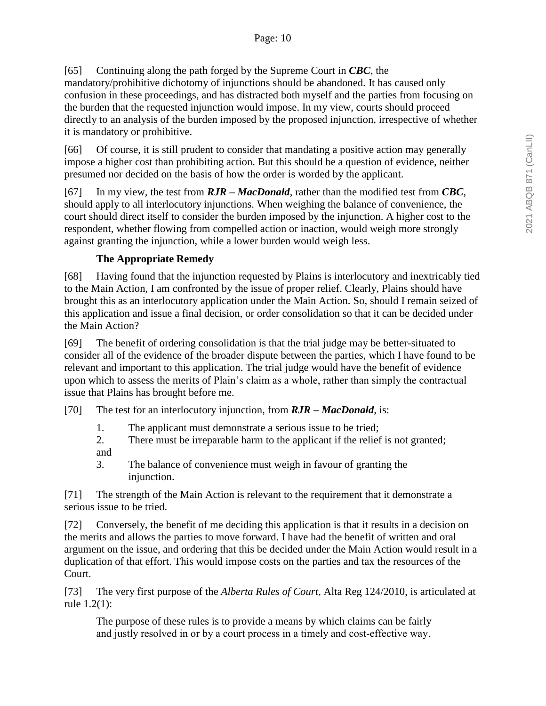[65] Continuing along the path forged by the Supreme Court in *CBC*, the

mandatory/prohibitive dichotomy of injunctions should be abandoned. It has caused only confusion in these proceedings, and has distracted both myself and the parties from focusing on the burden that the requested injunction would impose. In my view, courts should proceed directly to an analysis of the burden imposed by the proposed injunction, irrespective of whether it is mandatory or prohibitive.

[66] Of course, it is still prudent to consider that mandating a positive action may generally impose a higher cost than prohibiting action. But this should be a question of evidence, neither presumed nor decided on the basis of how the order is worded by the applicant.

[67] In my view, the test from *RJR – MacDonald*, rather than the modified test from *CBC*, should apply to all interlocutory injunctions. When weighing the balance of convenience, the court should direct itself to consider the burden imposed by the injunction. A higher cost to the respondent, whether flowing from compelled action or inaction, would weigh more strongly against granting the injunction, while a lower burden would weigh less.

# **The Appropriate Remedy**

[68] Having found that the injunction requested by Plains is interlocutory and inextricably tied to the Main Action, I am confronted by the issue of proper relief. Clearly, Plains should have brought this as an interlocutory application under the Main Action. So, should I remain seized of this application and issue a final decision, or order consolidation so that it can be decided under the Main Action?

[69] The benefit of ordering consolidation is that the trial judge may be better-situated to consider all of the evidence of the broader dispute between the parties, which I have found to be relevant and important to this application. The trial judge would have the benefit of evidence upon which to assess the merits of Plain's claim as a whole, rather than simply the contractual issue that Plains has brought before me.

[70] The test for an interlocutory injunction, from *RJR – MacDonald*, is:

- 1. The applicant must demonstrate a serious issue to be tried;
- 2. There must be irreparable harm to the applicant if the relief is not granted; and
- 3. The balance of convenience must weigh in favour of granting the injunction.

[71] The strength of the Main Action is relevant to the requirement that it demonstrate a serious issue to be tried.

[72] Conversely, the benefit of me deciding this application is that it results in a decision on the merits and allows the parties to move forward. I have had the benefit of written and oral argument on the issue, and ordering that this be decided under the Main Action would result in a duplication of that effort. This would impose costs on the parties and tax the resources of the Court.

[73] The very first purpose of the *Alberta Rules of Court*, Alta Reg 124/2010, is articulated at rule 1.2(1):

The purpose of these rules is to provide a means by which claims can be fairly and justly resolved in or by a court process in a timely and cost-effective way.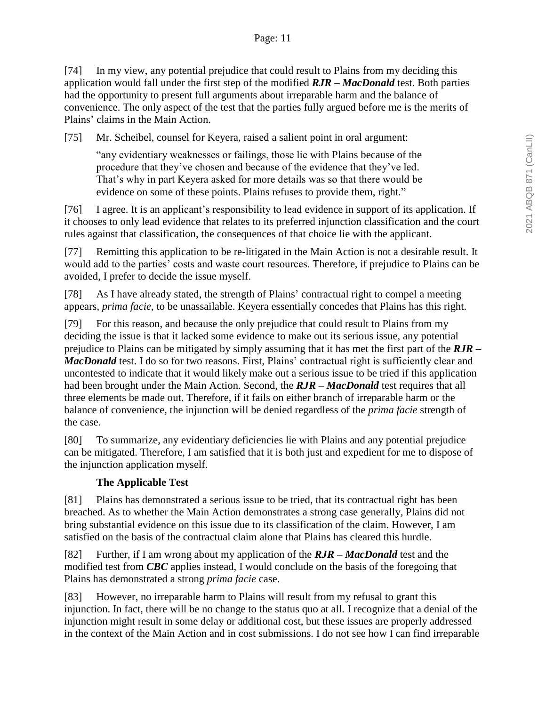### Page: 11

[74] In my view, any potential prejudice that could result to Plains from my deciding this application would fall under the first step of the modified *RJR – MacDonald* test. Both parties had the opportunity to present full arguments about irreparable harm and the balance of convenience. The only aspect of the test that the parties fully argued before me is the merits of Plains' claims in the Main Action.

[75] Mr. Scheibel, counsel for Keyera, raised a salient point in oral argument:

"any evidentiary weaknesses or failings, those lie with Plains because of the procedure that they've chosen and because of the evidence that they've led. That's why in part Keyera asked for more details was so that there would be evidence on some of these points. Plains refuses to provide them, right."

[76] I agree. It is an applicant's responsibility to lead evidence in support of its application. If it chooses to only lead evidence that relates to its preferred injunction classification and the court rules against that classification, the consequences of that choice lie with the applicant.

[77] Remitting this application to be re-litigated in the Main Action is not a desirable result. It would add to the parties' costs and waste court resources. Therefore, if prejudice to Plains can be avoided, I prefer to decide the issue myself.

[78] As I have already stated, the strength of Plains' contractual right to compel a meeting appears, *prima facie*, to be unassailable. Keyera essentially concedes that Plains has this right.

[79] For this reason, and because the only prejudice that could result to Plains from my deciding the issue is that it lacked some evidence to make out its serious issue, any potential prejudice to Plains can be mitigated by simply assuming that it has met the first part of the *RJR – MacDonald* test. I do so for two reasons. First, Plains' contractual right is sufficiently clear and uncontested to indicate that it would likely make out a serious issue to be tried if this application had been brought under the Main Action. Second, the *RJR – MacDonald* test requires that all three elements be made out. Therefore, if it fails on either branch of irreparable harm or the balance of convenience, the injunction will be denied regardless of the *prima facie* strength of the case.

[80] To summarize, any evidentiary deficiencies lie with Plains and any potential prejudice can be mitigated. Therefore, I am satisfied that it is both just and expedient for me to dispose of the injunction application myself.

### **The Applicable Test**

[81] Plains has demonstrated a serious issue to be tried, that its contractual right has been breached. As to whether the Main Action demonstrates a strong case generally, Plains did not bring substantial evidence on this issue due to its classification of the claim. However, I am satisfied on the basis of the contractual claim alone that Plains has cleared this hurdle.

[82] Further, if I am wrong about my application of the *RJR – MacDonald* test and the modified test from *CBC* applies instead, I would conclude on the basis of the foregoing that Plains has demonstrated a strong *prima facie* case.

[83] However, no irreparable harm to Plains will result from my refusal to grant this injunction. In fact, there will be no change to the status quo at all. I recognize that a denial of the injunction might result in some delay or additional cost, but these issues are properly addressed in the context of the Main Action and in cost submissions. I do not see how I can find irreparable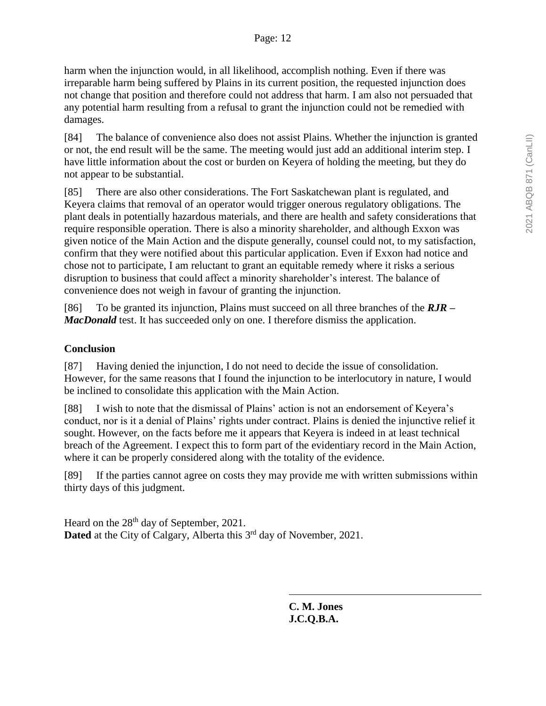harm when the injunction would, in all likelihood, accomplish nothing. Even if there was irreparable harm being suffered by Plains in its current position, the requested injunction does not change that position and therefore could not address that harm. I am also not persuaded that any potential harm resulting from a refusal to grant the injunction could not be remedied with damages.

[84] The balance of convenience also does not assist Plains. Whether the injunction is granted or not, the end result will be the same. The meeting would just add an additional interim step. I have little information about the cost or burden on Keyera of holding the meeting, but they do not appear to be substantial.

[85] There are also other considerations. The Fort Saskatchewan plant is regulated, and Keyera claims that removal of an operator would trigger onerous regulatory obligations. The plant deals in potentially hazardous materials, and there are health and safety considerations that require responsible operation. There is also a minority shareholder, and although Exxon was given notice of the Main Action and the dispute generally, counsel could not, to my satisfaction, confirm that they were notified about this particular application. Even if Exxon had notice and chose not to participate, I am reluctant to grant an equitable remedy where it risks a serious disruption to business that could affect a minority shareholder's interest. The balance of convenience does not weigh in favour of granting the injunction.

[86] To be granted its injunction, Plains must succeed on all three branches of the *RJR – MacDonald* test. It has succeeded only on one. I therefore dismiss the application.

# **Conclusion**

[87] Having denied the injunction, I do not need to decide the issue of consolidation. However, for the same reasons that I found the injunction to be interlocutory in nature, I would be inclined to consolidate this application with the Main Action.

[88] I wish to note that the dismissal of Plains' action is not an endorsement of Keyera's conduct, nor is it a denial of Plains' rights under contract. Plains is denied the injunctive relief it sought. However, on the facts before me it appears that Keyera is indeed in at least technical breach of the Agreement. I expect this to form part of the evidentiary record in the Main Action, where it can be properly considered along with the totality of the evidence.

[89] If the parties cannot agree on costs they may provide me with written submissions within thirty days of this judgment.

Heard on the 28<sup>th</sup> day of September, 2021. Dated at the City of Calgary, Alberta this 3<sup>rd</sup> day of November, 2021.

> **C. M. Jones J.C.Q.B.A.**